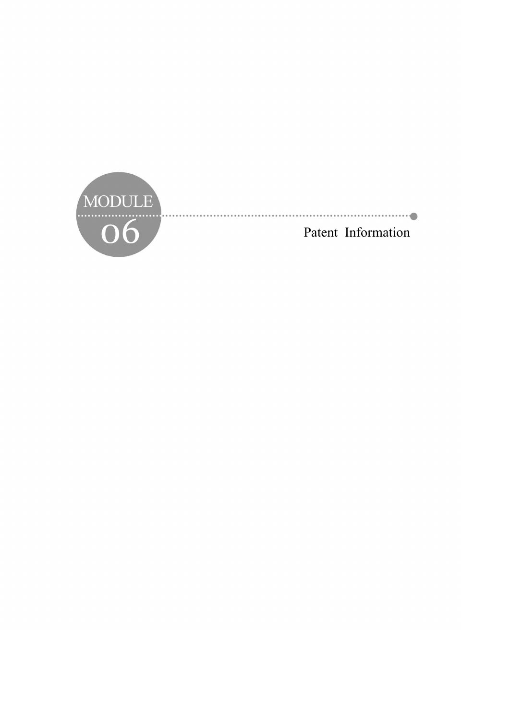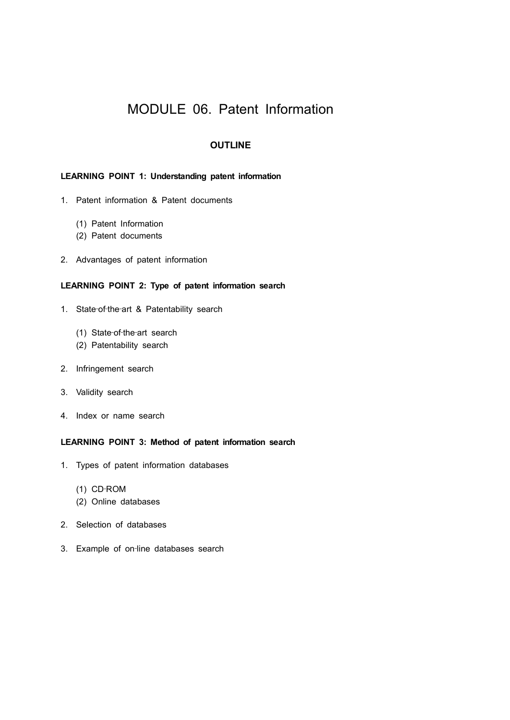# MODULE 06. Patent Information

# **OUTLINE**

# **LEARNING POINT 1: Understanding patent information**

- 1. Patent information & Patent documents
	- (1) Patent Information
	- (2) Patent documents
- 2. Advantages of patent information

### **LEARNING POINT 2: Type of patent information search**

- 1. State-of-the-art & Patentability search
	- (1) State‐of‐the‐art search
	- (2) Patentability search
- 2. Infringement search
- 3. Validity search
- 4. Index or name search

### **LEARNING POINT 3: Method of patent information search**

- 1. Types of patent information databases
	- (1) CD‐ROM
	- (2) Online databases
- 2. Selection of databases
- 3. Example of on-line databases search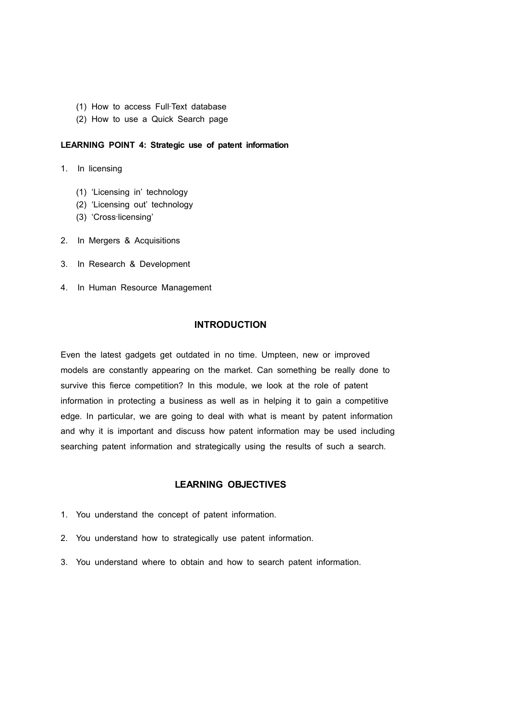- (1) How to access Full‐Text database
- (2) How to use a Quick Search page

### **LEARNING POINT 4: Strategic use of patent information**

- 1. In licensing
	- (1) 'Licensing in' technology
	- (2) 'Licensing out' technology
	- (3) 'Cross‐licensing'
- 2. In Mergers & Acquisitions
- 3. In Research & Development
- 4. In Human Resource Management

# **INTRODUCTION**

Even the latest gadgets get outdated in no time. Umpteen, new or improved models are constantly appearing on the market. Can something be really done to survive this fierce competition? In this module, we look at the role of patent information in protecting a business as well as in helping it to gain a competitive edge. In particular, we are going to deal with what is meant by patent information and why it is important and discuss how patent information may be used including searching patent information and strategically using the results of such a search.

# **LEARNING OBJECTIVES**

- 1. You understand the concept of patent information.
- 2. You understand how to strategically use patent information.
- 3. You understand where to obtain and how to search patent information.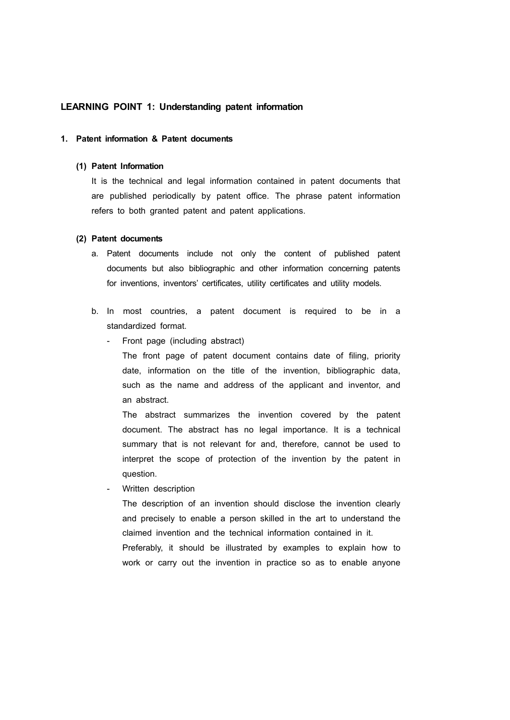# **LEARNING POINT 1: Understanding patent information**

#### **1. Patent information & Patent documents**

#### **(1) Patent Information**

It is the technical and legal information contained in patent documents that are published periodically by patent office. The phrase patent information refers to both granted patent and patent applications.

#### **(2) Patent documents**

- a. Patent documents include not only the content of published patent documents but also bibliographic and other information concerning patents for inventions, inventors' certificates, utility certificates and utility models.
- b. In most countries, a patent document is required to be in a standardized format.
	- Front page (including abstract)
		- The front page of patent document contains date of filing, priority date, information on the title of the invention, bibliographic data, such as the name and address of the applicant and inventor, and an abstract.

The abstract summarizes the invention covered by the patent document. The abstract has no legal importance. It is a technical summary that is not relevant for and, therefore, cannot be used to interpret the scope of protection of the invention by the patent in question.

- Written description

The description of an invention should disclose the invention clearly and precisely to enable a person skilled in the art to understand the claimed invention and the technical information contained in it. Preferably, it should be illustrated by examples to explain how to work or carry out the invention in practice so as to enable anyone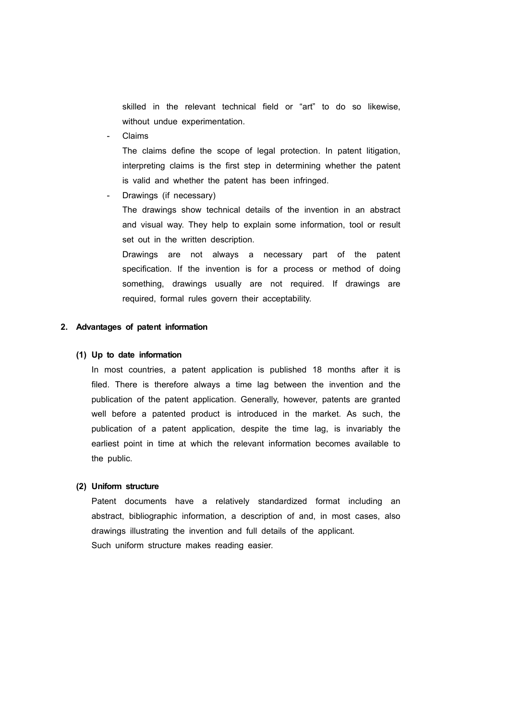skilled in the relevant technical field or "art" to do so likewise, without undue experimentation.

- Claims

The claims define the scope of legal protection. In patent litigation, interpreting claims is the first step in determining whether the patent is valid and whether the patent has been infringed.

Drawings (if necessary)

The drawings show technical details of the invention in an abstract and visual way. They help to explain some information, tool or result set out in the written description.

Drawings are not always a necessary part of the patent specification. If the invention is for a process or method of doing something, drawings usually are not required. If drawings are required, formal rules govern their acceptability.

#### **2. Advantages of patent information**

#### **(1) Up to date information**

In most countries, a patent application is published 18 months after it is filed. There is therefore always a time lag between the invention and the publication of the patent application. Generally, however, patents are granted well before a patented product is introduced in the market. As such, the publication of a patent application, despite the time lag, is invariably the earliest point in time at which the relevant information becomes available to the public.

#### **(2) Uniform structure**

Patent documents have a relatively standardized format including an abstract, bibliographic information, a description of and, in most cases, also drawings illustrating the invention and full details of the applicant. Such uniform structure makes reading easier.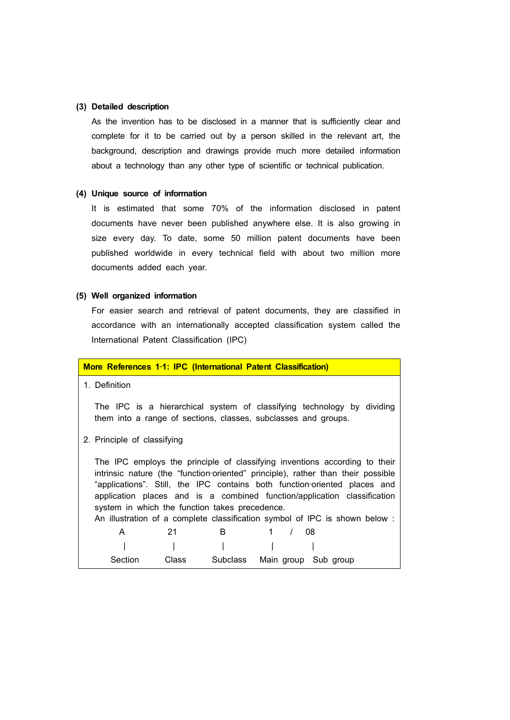### **(3) Detailed description**

As the invention has to be disclosed in a manner that is sufficiently clear and complete for it to be carried out by a person skilled in the relevant art, the background, description and drawings provide much more detailed information about a technology than any other type of scientific or technical publication.

#### **(4) Unique source of information**

It is estimated that some 70% of the information disclosed in patent documents have never been published anywhere else. It is also growing in size every day. To date, some 50 million patent documents have been published worldwide in every technical field with about two million more documents added each year.

# **(5) Well organized information**

For easier search and retrieval of patent documents, they are classified in accordance with an internationally accepted classification system called the International Patent Classification (IPC)

| More References 1-1: IPC (International Patent Classification)                                                                                                                                                                                                                                                                                                                                                                                           |
|----------------------------------------------------------------------------------------------------------------------------------------------------------------------------------------------------------------------------------------------------------------------------------------------------------------------------------------------------------------------------------------------------------------------------------------------------------|
| 1. Definition                                                                                                                                                                                                                                                                                                                                                                                                                                            |
| The IPC is a hierarchical system of classifying technology by dividing<br>them into a range of sections, classes, subclasses and groups.                                                                                                                                                                                                                                                                                                                 |
| 2. Principle of classifying                                                                                                                                                                                                                                                                                                                                                                                                                              |
| The IPC employs the principle of classifying inventions according to their<br>intrinsic nature (the "function-oriented" principle), rather than their possible<br>"applications". Still, the IPC contains both function-oriented places and<br>application places and is a combined function/application classification<br>system in which the function takes precedence.<br>An illustration of a complete classification symbol of IPC is shown below : |
| B<br>1<br>21<br>$\prime$<br>A<br>08                                                                                                                                                                                                                                                                                                                                                                                                                      |
|                                                                                                                                                                                                                                                                                                                                                                                                                                                          |
| Section<br>Class<br>Subclass<br>Main group Sub group                                                                                                                                                                                                                                                                                                                                                                                                     |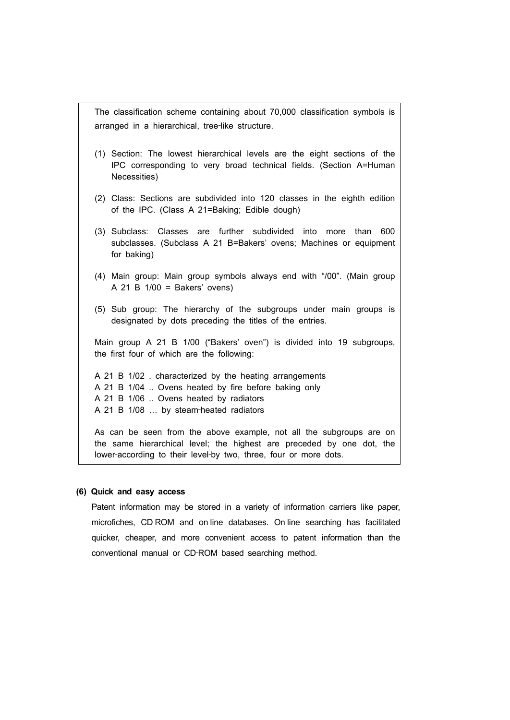The classification scheme containing about 70,000 classification symbols is arranged in a hierarchical, tree‐like structure.

- (1) Section: The lowest hierarchical levels are the eight sections of the IPC corresponding to very broad technical fields. (Section A=Human Necessities)
- (2) Class: Sections are subdivided into 120 classes in the eighth edition of the IPC. (Class A 21=Baking; Edible dough)
- (3) Subclass: Classes are further subdivided into more than 600 subclasses. (Subclass A 21 B=Bakers' ovens; Machines or equipment for baking)
- (4) Main group: Main group symbols always end with "/00". (Main group A 21 B 1/00 = Bakers' ovens)
- (5) Sub group: The hierarchy of the subgroups under main groups is designated by dots preceding the titles of the entries.

Main group A 21 B 1/00 ("Bakers' oven") is divided into 19 subgroups, the first four of which are the following:

A 21 B 1/02 . characterized by the heating arrangements A 21 B 1/04 .. Ovens heated by fire before baking only A 21 B 1/06 .. Ovens heated by radiators A 21 B 1/08 ... by steam-heated radiators

As can be seen from the above example, not all the subgroups are on the same hierarchical level; the highest are preceded by one dot, the lower-according to their level-by two, three, four or more dots.

#### **(6) Quick and easy access**

Patent information may be stored in a variety of information carriers like paper, microfiches, CD-ROM and on-line databases. On-line searching has facilitated quicker, cheaper, and more convenient access to patent information than the conventional manual or CD‐ROM based searching method.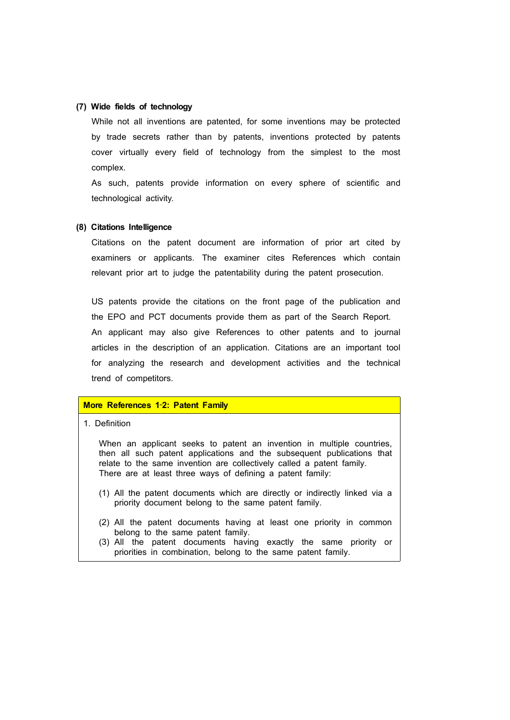### **(7) Wide fields of technology**

While not all inventions are patented, for some inventions may be protected by trade secrets rather than by patents, inventions protected by patents cover virtually every field of technology from the simplest to the most complex.

As such, patents provide information on every sphere of scientific and technological activity.

#### **(8) Citations Intelligence**

Citations on the patent document are information of prior art cited by examiners or applicants. The examiner cites References which contain relevant prior art to judge the patentability during the patent prosecution.

US patents provide the citations on the front page of the publication and the EPO and PCT documents provide them as part of the Search Report. An applicant may also give References to other patents and to journal articles in the description of an application. Citations are an important tool for analyzing the research and development activities and the technical trend of competitors.

### **More References 1**‐**2: Patent Family**

#### 1. Definition

When an applicant seeks to patent an invention in multiple countries, then all such patent applications and the subsequent publications that relate to the same invention are collectively called a patent family. There are at least three ways of defining a patent family:

- (1) All the patent documents which are directly or indirectly linked via a priority document belong to the same patent family.
- (2) All the patent documents having at least one priority in common belong to the same patent family.
- (3) All the patent documents having exactly the same priority or priorities in combination, belong to the same patent family.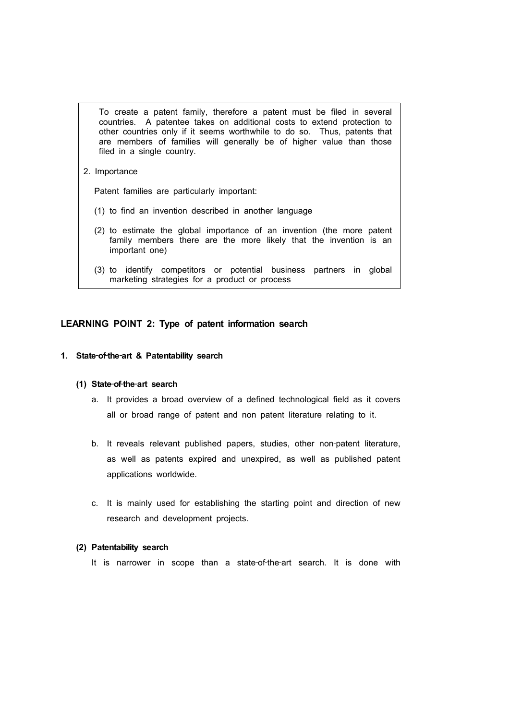To create a patent family, therefore a patent must be filed in several countries. A patentee takes on additional costs to extend protection to other countries only if it seems worthwhile to do so. Thus, patents that are members of families will generally be of higher value than those filed in a single country.

2. Importance

Patent families are particularly important:

- (1) to find an invention described in another language
- (2) to estimate the global importance of an invention (the more patent family members there are the more likely that the invention is an important one)
- (3) to identify competitors or potential business partners in global marketing strategies for a product or process

#### **LEARNING POINT 2: Type of patent information search**

#### **1. State**‐**of**‐**the**‐**art & Patentability search**

#### **(1) State**‐**of**‐**the**‐**art search**

- a. It provides a broad overview of a defined technological field as it covers all or broad range of patent and non patent literature relating to it.
- b. It reveals relevant published papers, studies, other non-patent literature, as well as patents expired and unexpired, as well as published patent applications worldwide.
- c. It is mainly used for establishing the starting point and direction of new research and development projects.

#### **(2) Patentability search**

It is narrower in scope than a state-of-the-art search. It is done with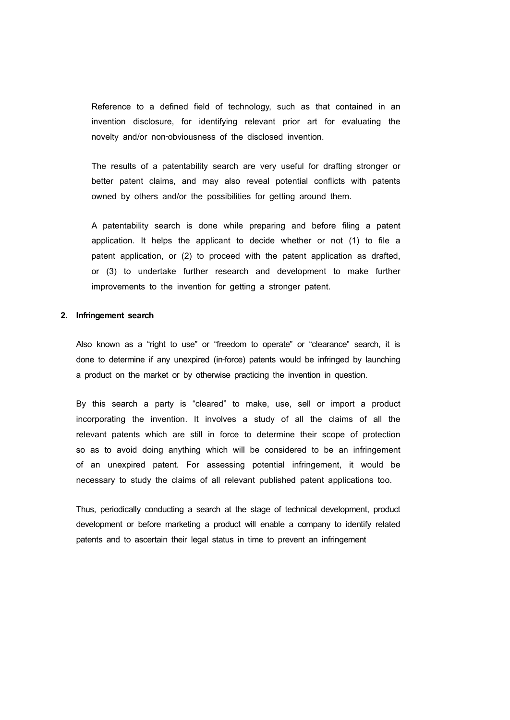Reference to a defined field of technology, such as that contained in an invention disclosure, for identifying relevant prior art for evaluating the novelty and/or non‐obviousness of the disclosed invention.

The results of a patentability search are very useful for drafting stronger or better patent claims, and may also reveal potential conflicts with patents owned by others and/or the possibilities for getting around them.

A patentability search is done while preparing and before filing a patent application. It helps the applicant to decide whether or not (1) to file a patent application, or (2) to proceed with the patent application as drafted, or (3) to undertake further research and development to make further improvements to the invention for getting a stronger patent.

#### **2. Infringement search**

Also known as a "right to use" or "freedom to operate" or "clearance" search, it is done to determine if any unexpired (in‐force) patents would be infringed by launching a product on the market or by otherwise practicing the invention in question.

By this search a party is "cleared" to make, use, sell or import a product incorporating the invention. It involves a study of all the claims of all the relevant patents which are still in force to determine their scope of protection so as to avoid doing anything which will be considered to be an infringement of an unexpired patent. For assessing potential infringement, it would be necessary to study the claims of all relevant published patent applications too.

Thus, periodically conducting a search at the stage of technical development, product development or before marketing a product will enable a company to identify related patents and to ascertain their legal status in time to prevent an infringement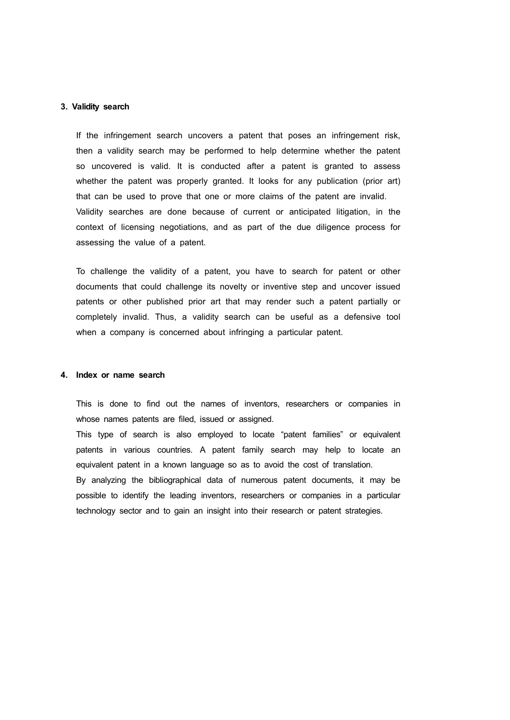#### **3. Validity search**

If the infringement search uncovers a patent that poses an infringement risk, then a validity search may be performed to help determine whether the patent so uncovered is valid. It is conducted after a patent is granted to assess whether the patent was properly granted. It looks for any publication (prior art) that can be used to prove that one or more claims of the patent are invalid. Validity searches are done because of current or anticipated litigation, in the context of licensing negotiations, and as part of the due diligence process for assessing the value of a patent.

To challenge the validity of a patent, you have to search for patent or other documents that could challenge its novelty or inventive step and uncover issued patents or other published prior art that may render such a patent partially or completely invalid. Thus, a validity search can be useful as a defensive tool when a company is concerned about infringing a particular patent.

### **4. Index or name search**

This is done to find out the names of inventors, researchers or companies in whose names patents are filed, issued or assigned.

This type of search is also employed to locate "patent families" or equivalent patents in various countries. A patent family search may help to locate an equivalent patent in a known language so as to avoid the cost of translation. By analyzing the bibliographical data of numerous patent documents, it may be possible to identify the leading inventors, researchers or companies in a particular technology sector and to gain an insight into their research or patent strategies.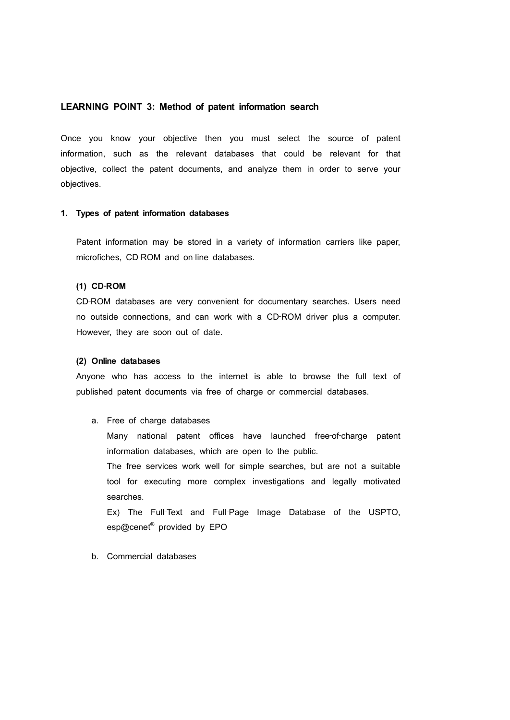#### **LEARNING POINT 3: Method of patent information search**

Once you know your objective then you must select the source of patent information, such as the relevant databases that could be relevant for that objective, collect the patent documents, and analyze them in order to serve your objectives.

#### **1. Types of patent information databases**

Patent information may be stored in a variety of information carriers like paper, microfiches, CD‐ROM and on‐line databases.

#### **(1) CD**‐**ROM**

CD‐ROM databases are very convenient for documentary searches. Users need no outside connections, and can work with a CD‐ROM driver plus a computer. However, they are soon out of date.

#### **(2) Online databases**

Anyone who has access to the internet is able to browse the full text of published patent documents via free of charge or commercial databases.

### a. Free of charge databases

Many national patent offices have launched free-of-charge patent information databases, which are open to the public.

The free services work well for simple searches, but are not a suitable tool for executing more complex investigations and legally motivated searches.

Ex) The Full‐Text and Full‐Page Image Database of the USPTO, esp@cenet<sup>®</sup> provided by EPO

#### b. Commercial databases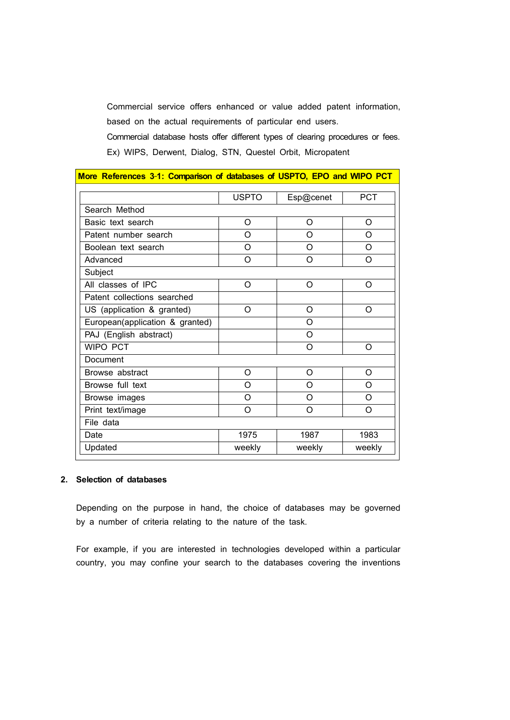Commercial service offers enhanced or value added patent information, based on the actual requirements of particular end users.

Commercial database hosts offer different types of clearing procedures or fees. Ex) WIPS, Derwent, Dialog, STN, Questel Orbit, Micropatent

| More References 3-1: Comparison of databases of USPTO, EPO and WIPO PCT |              |           |            |
|-------------------------------------------------------------------------|--------------|-----------|------------|
|                                                                         | <b>USPTO</b> | Esp@cenet | <b>PCT</b> |
| Search Method                                                           |              |           |            |
| Basic text search                                                       | O            | O         | O          |
| Patent number search                                                    | O            | $\Omega$  | $\Omega$   |
| Boolean text search                                                     | O            | O         | $\Omega$   |
| Advanced                                                                | O            | $\Omega$  | O          |
| Subject                                                                 |              |           |            |
| All classes of IPC                                                      | O            | $\Omega$  | $\Omega$   |
| Patent collections searched                                             |              |           |            |
| US (application & granted)                                              | O            | $\circ$   | $\circ$    |
| European(application & granted)                                         |              | $\Omega$  |            |
| PAJ (English abstract)                                                  |              | $\Omega$  |            |
| WIPO PCT                                                                |              | O         | O          |
| Document                                                                |              |           |            |
| Browse abstract                                                         | O            | O         | $\Omega$   |
| Browse full text                                                        | O            | O         | O          |
| Browse images                                                           | Ω            | $\Omega$  | $\Omega$   |
| Print text/image                                                        | $\Omega$     | $\Omega$  | $\Omega$   |
| File data                                                               |              |           |            |
| Date                                                                    | 1975         | 1987      | 1983       |
| Updated                                                                 | weekly       | weekly    | weekly     |

# **2. Selection of databases**

Depending on the purpose in hand, the choice of databases may be governed by a number of criteria relating to the nature of the task.

For example, if you are interested in technologies developed within a particular country, you may confine your search to the databases covering the inventions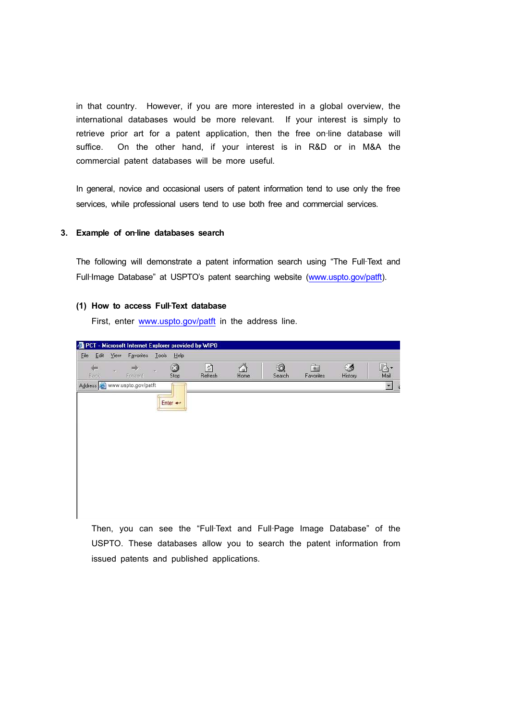in that country. However, if you are more interested in a global overview, the international databases would be more relevant. If your interest is simply to retrieve prior art for a patent application, then the free on-line database will suffice. On the other hand, if your interest is in R&D or in M&A the commercial patent databases will be more useful*.*

In general, novice and occasional users of patent information tend to use only the free services, while professional users tend to use both free and commercial services.

#### **3. Example of on**‐**line databases search**

The following will demonstrate a patent information search using "The Full‐Text and Full-Image Database" at USPTO's patent searching website (www.uspto.gov/patft).

#### **(1) How to access Full**‐**Text database**

First, enter www.uspto.gov/patft in the address line.

| <b>Eile</b> | Edit View | Favorites                     |   | Lools Help      |              |           |             |                           |              |                      |
|-------------|-----------|-------------------------------|---|-----------------|--------------|-----------|-------------|---------------------------|--------------|----------------------|
| Back        | iУ.       | най<br>Forward                | ÷ | $\circ$<br>Stop | 剛<br>Refresh | Å<br>Home | Q<br>Search | $\vec{\ast}$<br>Favorites | Ø<br>History | R.<br>Mail           |
|             |           | Address @ www.uspto.gov/patft |   |                 |              |           |             |                           |              | $\blacktriangledown$ |
|             |           |                               |   |                 |              |           |             |                           |              |                      |
|             |           |                               |   | Enter <         |              |           |             |                           |              |                      |
|             |           |                               |   |                 |              |           |             |                           |              |                      |
|             |           |                               |   |                 |              |           |             |                           |              |                      |
|             |           |                               |   |                 |              |           |             |                           |              |                      |
|             |           |                               |   |                 |              |           |             |                           |              |                      |
|             |           |                               |   |                 |              |           |             |                           |              |                      |
|             |           |                               |   |                 |              |           |             |                           |              |                      |
|             |           |                               |   |                 |              |           |             |                           |              |                      |
|             |           |                               |   |                 |              |           |             |                           |              |                      |

Then, you can see the "Full‐Text and Full‐Page Image Database" of the USPTO. These databases allow you to search the patent information from issued patents and published applications.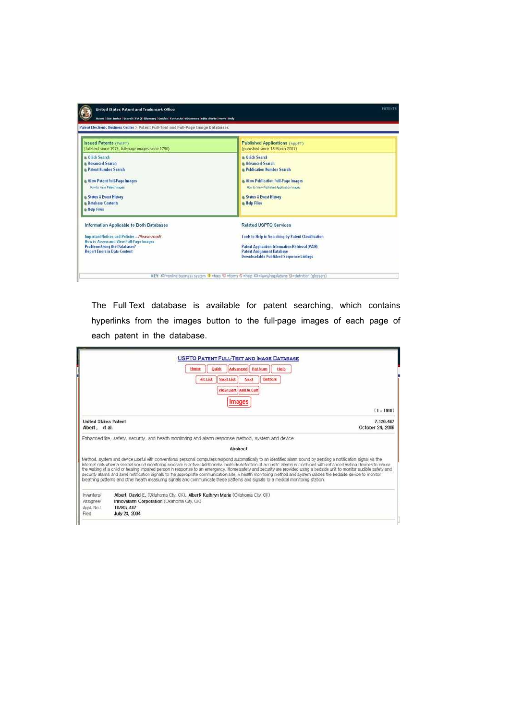| Home Site Index Search FAQ (dessary Guides Contacts eBusiness eBiz alerts News Help<br>Patent Electronic Business Center > Patent Full-Text and Full-Page Image Databases                                     |                                                                                                                                                                                                                         |
|---------------------------------------------------------------------------------------------------------------------------------------------------------------------------------------------------------------|-------------------------------------------------------------------------------------------------------------------------------------------------------------------------------------------------------------------------|
| <b>Issued Patents (PatET)</b>                                                                                                                                                                                 | Published Applications (AppFT)                                                                                                                                                                                          |
| (full-text since 1976, full-page images since 1790).                                                                                                                                                          | (published since 15 March 2001)                                                                                                                                                                                         |
| a Ouick Search<br>a Advanced Search<br><b>a Patent Number Search</b><br>a View Patent Full Page Images<br>How to Meny Patent Images<br>a Status & Event History<br><b>a Database Contents</b><br>a Help Files | a Ouick Search<br>a Advanced Search<br><b>a Publication Number Search</b><br>Mew Publication Full-Page Images<br>Now to Year Published Application Inages<br><b>a Status &amp; Event History</b><br><b>a</b> Help Files |
| Information Applicable to Both Databases                                                                                                                                                                      | <b>Related USPTO Services</b>                                                                                                                                                                                           |
| Important Notices and Policies - Please read!                                                                                                                                                                 | Tools to Help in Searching by Patent Classification                                                                                                                                                                     |
| How to Access and View Full-Page Images                                                                                                                                                                       | Patent Application Information Retrieval (PAIR)                                                                                                                                                                         |
| <b>Problems Using the Databases?</b>                                                                                                                                                                          | <b>Patent Assignment Database</b>                                                                                                                                                                                       |
| <b>Report Errors in Data Content</b>                                                                                                                                                                          | <b>Downloadable Published Sequence Listings</b>                                                                                                                                                                         |

The Full-Text database is available for patent searching, which contains hyperlinks from the images button to the full-page images of each page of each patent in the database.

|                                                             | <b>USPTO PATENT FULL-TEXT AND IMAGE DATABASE</b><br>Advanced   Pat Num<br><b>Quick</b><br>Hame<br>Next List<br><b>Hit List</b><br>Next<br>View Cart Add to Cart<br>Images                                                                                                                                                                                                                                                                                                                                                                                                                                                                                                                                                                                                                                                     | Help<br>Buttom                |
|-------------------------------------------------------------|-------------------------------------------------------------------------------------------------------------------------------------------------------------------------------------------------------------------------------------------------------------------------------------------------------------------------------------------------------------------------------------------------------------------------------------------------------------------------------------------------------------------------------------------------------------------------------------------------------------------------------------------------------------------------------------------------------------------------------------------------------------------------------------------------------------------------------|-------------------------------|
|                                                             |                                                                                                                                                                                                                                                                                                                                                                                                                                                                                                                                                                                                                                                                                                                                                                                                                               | $(1 - 1918)$                  |
| <b>United States Patent</b><br>Albert, et al.               |                                                                                                                                                                                                                                                                                                                                                                                                                                                                                                                                                                                                                                                                                                                                                                                                                               | 7.126.467<br>October 24, 2006 |
|                                                             | Enhanced fire, safety, security, and health monitoring and alarm response method, system and device                                                                                                                                                                                                                                                                                                                                                                                                                                                                                                                                                                                                                                                                                                                           |                               |
|                                                             | Abstract                                                                                                                                                                                                                                                                                                                                                                                                                                                                                                                                                                                                                                                                                                                                                                                                                      |                               |
|                                                             | Method, system and device useful with conventional personal computers respond automatically to an identified alarm sound by sending a notification signal via the<br>Internet only when a special sound monitoring program is active. Additionally, bedside detection of acoustic alarms is combined with enhanced waking devices to insure<br>the waking of a child or hearing impared person in response to an emergency. Home safety and security are provided using a bedside unit to montor audible safety and<br>security alarms and send notification signals to the appropriate communication site. A health moritoring method and system utilizes the bedside device to monitor<br>breathing patterns and other health measuring signals and communicate these patterns and signals to a medical monitoring station. |                               |
| Inventors:<br>Assignee <sup>r</sup><br>Appl. No.1<br>Filed: | Albert: David E. (Oklahoma City, OK), Albert: Kathryn Marie (Oklahoma City, OK)<br>Innovalarm Corporation (Oklahoma City, OK)<br>10/897.487<br>July 23, 2004                                                                                                                                                                                                                                                                                                                                                                                                                                                                                                                                                                                                                                                                  |                               |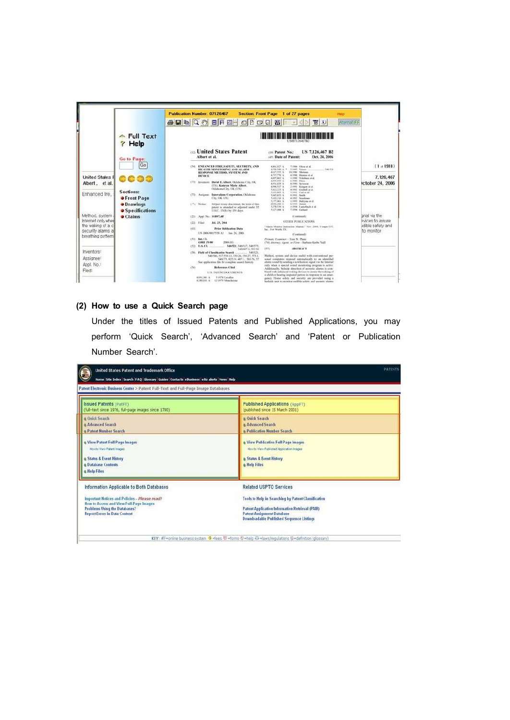|                                        |                                                       | Publication Number: 07126467<br>Section: Front Page 1 of 27 pages<br><b>SESCABET DE OD DO NE DO T</b>                                                                                                                                               | Help<br>AttemaTIFF                                                                                                                                                                                                                                                                                                              |
|----------------------------------------|-------------------------------------------------------|-----------------------------------------------------------------------------------------------------------------------------------------------------------------------------------------------------------------------------------------------------|---------------------------------------------------------------------------------------------------------------------------------------------------------------------------------------------------------------------------------------------------------------------------------------------------------------------------------|
|                                        | $\triangle$ Full Text<br>$\gamma$ Help<br>Go to Page: | an United States Patent<br>(iii) Patent No.;<br>Albert et al.<br>147; Date of Patent:                                                                                                                                                               | US 7,126,467 B2<br>Oct. 24, 2006                                                                                                                                                                                                                                                                                                |
|                                        | Go                                                    | (54) ENHANCED FIRE, SAFETY, SECURITY, AND<br><b>6.452 V.TT</b><br>BEALTH MONTIORING AND ALARM<br>4.134.544.A<br>A 253,714.8                                                                                                                         | $(1 \times 1918)$<br>TIRES Channel at al.<br>Street, Vancor<br>349,731                                                                                                                                                                                                                                                          |
| United States I<br>Albert, et al.      | .                                                     | RESPONSE METIDIO, SYSTEM AND<br>4.737.779 A<br>DEVICE:<br>4.897, MG 14<br>AUDURN.<br>(73) Investory, David E. Albert, Oklahoma City, OK<br>4.951.026 A<br>(178) Kathryn Marie Albert,<br>4.996.527 A<br>Oklahoma City, OK (150)<br><b>EBLE229.A</b> | Ab 1996 Shuisean<br>A 1998 Electron at al.<br>7.126.467<br>5.0400 Nicholson at al.<br>a casi rasa<br><b>Ictober 24, 2006</b><br><b>R2900 Severes</b><br>2-royal - Michaels ici al.<br>a rest. Griduli at al.                                                                                                                    |
| Enhanced fire.                         | <b>Sections:</b><br><b>• Front Page</b>               | Liste and A<br>(73) Assigned Innovation Corporation, Oklahoms<br>Adults A<br>City, OK (18).<br><b>KASS, TAK A</b>                                                                                                                                   | wront, shall as all.<br>WENNY South<br>81937 Similares                                                                                                                                                                                                                                                                          |
|                                        | · Drawings<br><b>Specifications</b>                   | 9.197,466.3<br>(*) Noteri<br>Sebast to any disclaimer, the term of this<br>DAM: NW %<br>1,179,131.4<br>patent is estended or adjusted under 35<br>R. S.271-ASK - A<br>LLKC: 1545) by 176 days.                                                      | 5 5903 Blackway at al.<br>AVWEL Assura<br>1.0304 Equipment of all<br>T1994 Galaxi                                                                                                                                                                                                                                               |
| Method, system.                        | $\bullet$ Claims                                      | (21) April No. 10/207,487                                                                                                                                                                                                                           | bnal via the<br>(Community                                                                                                                                                                                                                                                                                                      |
| Internet only when                     |                                                       | $(22)$ Filada<br>Jul. 21, 2984                                                                                                                                                                                                                      | puices to insure.<br>OTHER PUBLICATIONS                                                                                                                                                                                                                                                                                         |
| the waking of a cl                     |                                                       | YAN'S<br><b>Prior Publication Data</b><br>fac., Easy Worth, TX.                                                                                                                                                                                     | udible safety and<br>"Alan Money Jerestics Mand," Soc. 2014, Coupe-TPE                                                                                                                                                                                                                                                          |
| security alarms a<br>breathing pattern |                                                       | 115 2000/00/17559 AT Jan 26 2006                                                                                                                                                                                                                    | to monitor<br>(Continued)                                                                                                                                                                                                                                                                                                       |
|                                        |                                                       | $(51)$ . But, CL<br>Primary Eugenines - Toun N. Phane<br><b>CARR PERE</b><br>(2006.00)<br>548/921-345/517-346/575<br>(52) U.S. CL                                                                                                                   | (74) Anivacy, Agent or Firm - Harbara Keebs Vall-                                                                                                                                                                                                                                                                               |
| Inventors:<br>Assignee:<br>Appl. No.:  |                                                       | 1575<br>340/407 1/381/56<br>146521.<br>Field of Classification Search<br>340/506, 517, 551.11, 538.26, 539.27, 575.1.<br>349575, 825, 19, 407.1, 381/56, 57<br>Soc application file for complete smath history.<br>References Cited<br>(N)          | <b>ABSTRACT</b><br>Method, system and device parliit with conventional per-<br>sonial computers respond sommatically to an identified<br>alizers sound by seminar a multication signal via the internet<br>only when a special sound stoniking peopram is active<br>Additionally, bodyide physician of accounts alsowin in com- |
| Filed <sup>1</sup>                     |                                                       | <b>U.S. PATINJ DOCUMENTS</b><br>9 HPA Leigher<br>4.001.366. A<br>4.180.810 A 1 12.2479 Muscleived                                                                                                                                                   | hined with enhanced waking devices to impre the waking of<br>a child or hearing impulsed person in response to an enser-<br>gency. Hense selets and accurity are provided ming a<br>horbidile muit no successive multiple sedies, and security alasens                                                                          |

# **(2) How to use a Quick Search page**

II.

Under the titles of Issued Patents and Published Applications, you may perform 'Quick Search', 'Advanced Search' and 'Patent or Publication Number Search'.

| United States Patent and Trademark Office<br>Home Site Index Search FAQ Clossary Cuides Contacts eBusiness eBiz alerts News Help                   | PATENTS                                                                                                                            |
|----------------------------------------------------------------------------------------------------------------------------------------------------|------------------------------------------------------------------------------------------------------------------------------------|
| Patent Electronic Business Center > Patent Full-Text and Full-Page Image Databases                                                                 |                                                                                                                                    |
| <b>Issued Patents (PatET)</b>                                                                                                                      | <b>Published Applications (AppFT)</b>                                                                                              |
| (full-text since 1976, full-page images since 1790).                                                                                               | (published since 15 March 2001)                                                                                                    |
| a Ouick Snarch                                                                                                                                     | <b>a</b> Onick Search                                                                                                              |
| <b>Advanced Search</b>                                                                                                                             | a Advanced Seatch                                                                                                                  |
| <b>Patent Number Search</b>                                                                                                                        | <b>&amp; Publication Number Search</b>                                                                                             |
| Miew Patent Full Page Images<br><b>How to View Fatert Inspect</b><br><b>Status &amp; Event History</b><br><b>Database Contents</b><br>a Help Files | <b>a View Publication Full Page Images</b><br>How to View Published Application Images<br>a Status & Event History<br>& Help Files |
| Information Applicable to Both Databases                                                                                                           | <b>Related USPTO Services</b>                                                                                                      |
| Important Notices and Policies - Please read!                                                                                                      | Tools to Help in Searching by Patent Classification                                                                                |
| How to Access and View Foll Page Images                                                                                                            | <b>Patent Application Information Retrieval (PAIR)</b>                                                                             |
| <b>Problems Using the Databases?</b>                                                                                                               | Patent Assignment Batabase                                                                                                         |
| <b>Report Errors in Data Content</b>                                                                                                               | <b>Downloadable Published Sequence Listings</b>                                                                                    |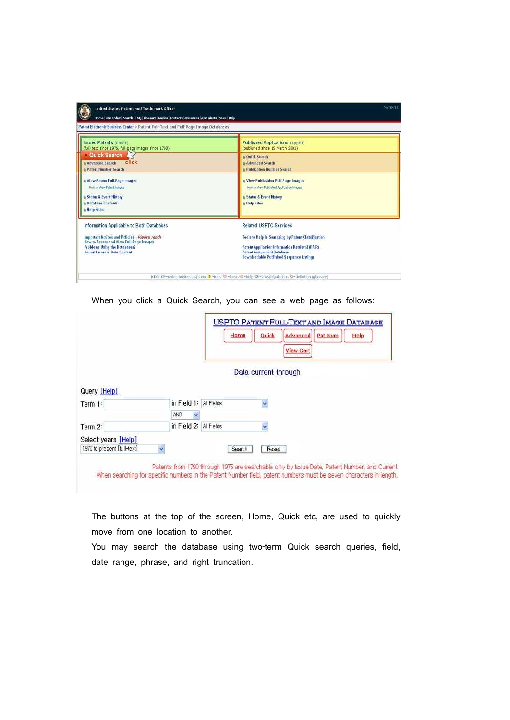| Home Site Index Search FAO Glossary Guides Contacts eBusiness eBiz alerts News Help                                                                               |                                                                                                                                                                                                |
|-------------------------------------------------------------------------------------------------------------------------------------------------------------------|------------------------------------------------------------------------------------------------------------------------------------------------------------------------------------------------|
| Patent Electronic Business Center > Patent Full-Text and Full-Page Image Databases                                                                                |                                                                                                                                                                                                |
| <b>Issued Patents (PatFT)</b><br>(full-text since 1976, full-page images since 1790).                                                                             | Published Applications (AppFT)<br>(published since 15 March 2001)                                                                                                                              |
| Quick Search<br>click<br>a Advanced Search<br><b>B</b> Patent Number Search                                                                                       | a Ouick Search<br>a Advanced Search<br>a Publication Number Search                                                                                                                             |
| View Patent Full Page Images<br>How to View Patent Israges                                                                                                        | Niew Publication Full-Page Images<br>Movrito View Published Application Images                                                                                                                 |
| a Status & Event History<br><b>a Database Contents</b><br>a Help Files                                                                                            | Status & Event History<br>a Help Files                                                                                                                                                         |
| Information Applicable to Both Databases                                                                                                                          | <b>Related USPTO Services</b>                                                                                                                                                                  |
| Important Notices and Policies - Please read!<br>How to Access and View Full Page Images<br>Problems Using the Databases?<br><b>Report Errors in Data Content</b> | Tools to Help in Searching by Patent Classification<br>Patent Application Information Retrieval (PAIR)<br><b>Patent Assignment Database</b><br><b>Downloadable Published Sequence Listings</b> |

When you click a Quick Search, you can see a web page as follows:

|                                |     |             |            | Home                 | Quick | Advanced<br><b>View Cart</b> | Pat Num | <b>USPTO PATENT FULL-TEXT AND IMAGE DATABASE</b><br>Help |  |
|--------------------------------|-----|-------------|------------|----------------------|-------|------------------------------|---------|----------------------------------------------------------|--|
|                                |     |             |            | Data current through |       |                              |         |                                                          |  |
|                                |     |             |            |                      |       |                              |         |                                                          |  |
|                                |     |             |            |                      |       |                              |         |                                                          |  |
|                                |     | in Field 1: | All Fields |                      |       |                              |         |                                                          |  |
| Query [Help]<br>Term 1:        | AND |             |            |                      |       |                              |         |                                                          |  |
|                                |     | in Field 2: | All Fields |                      |       |                              |         |                                                          |  |
| Term 2:<br>Select years [Help] |     |             |            |                      |       |                              |         |                                                          |  |

When searching for specific numbers in the Patent Number field, patent numbers must be seven characters in length,

The buttons at the top of the screen, Home, Quick etc, are used to quickly move from one location to another.

You may search the database using two-term Quick search queries, field, date range, phrase, and right truncation.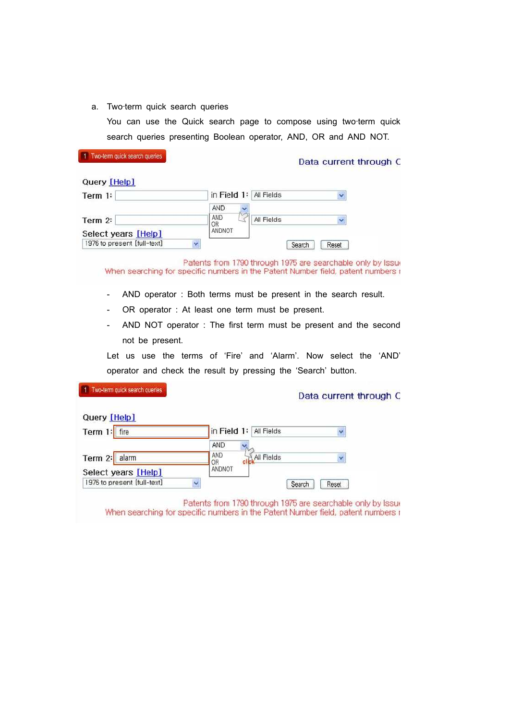a. Two-term quick search queries

You can use the Quick search page to compose using two-term quick search queries presenting Boolean operator, AND, OR and AND NOT.

| <b>INDUCTION CONTRACTOR AND INCORPORATION INTO A TELECOMORE</b> |             |            | Data current through C |
|-----------------------------------------------------------------|-------------|------------|------------------------|
| Query [Help]                                                    |             |            |                        |
| Term 1:                                                         | in Field 1: | All Fields |                        |
|                                                                 | <b>AND</b>  |            |                        |
| Term 2:                                                         | AND<br>OR   | All Fields |                        |
| Select years [Help]                                             | ANDNOT      |            |                        |
| 1976 to present [full-text]                                     |             |            | Search<br>Reset        |

Patents from 1790 through 1975 are searchable only by Issue When searching for specific numbers in the Patent Number field, patent numbers r

- AND operator : Both terms must be present in the search result.
- OR operator : At least one term must be present.
- AND NOT operator : The first term must be present and the second not be present.

Let us use the terms of 'Fire' and 'Alarm'. Now select the 'AND' operator and check the result by pressing the 'Search' button.

| Query [Help]                |                           |                 |
|-----------------------------|---------------------------|-----------------|
| Term 1:<br>fire             | in Field 1:<br>All Fields | Y               |
|                             | AND                       |                 |
| Term 2: alarm               | AND<br>All Fields<br>OR   | v               |
| Select years [Help]         | ANDNOT                    |                 |
| 1976 to present [full-text] |                           | Reset<br>Search |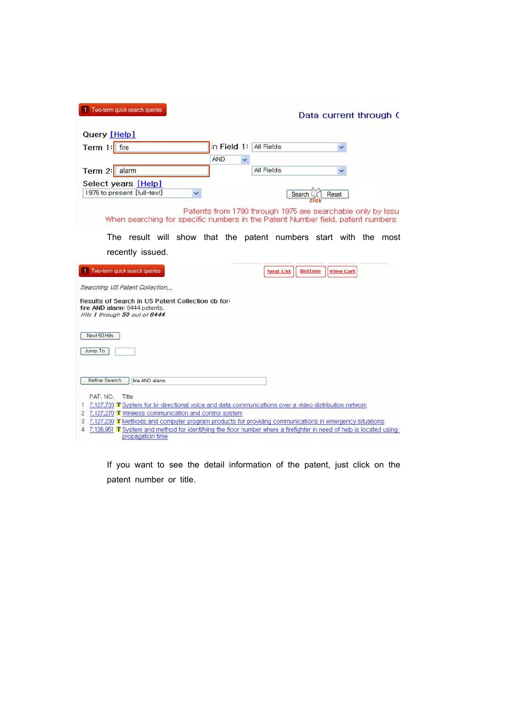| Query [Help]                                                                                                                                                       |            |                                                             |                                   |  |
|--------------------------------------------------------------------------------------------------------------------------------------------------------------------|------------|-------------------------------------------------------------|-----------------------------------|--|
| Term 1: fire                                                                                                                                                       |            | in Field 1: All Fields                                      |                                   |  |
| alarm<br>Term 2:                                                                                                                                                   | <b>AND</b> | ×<br>All Fields                                             |                                   |  |
| Select years [Help]<br>1976 to present [full-text]                                                                                                                 |            |                                                             | Reset<br>Search                   |  |
| When searching for specific numbers in the Patent Number field, patent numbers (                                                                                   |            | Patents from 1790 through 1975 are searchable only by Issue |                                   |  |
| The result will show that the patent numbers start with the most                                                                                                   |            |                                                             |                                   |  |
| recently issued.                                                                                                                                                   |            |                                                             |                                   |  |
| Two-term quick search queries                                                                                                                                      |            | <b>Next List</b>                                            | <b>Bottom</b><br><b>View Cart</b> |  |
| Searching US Patent Collection                                                                                                                                     |            |                                                             |                                   |  |
| Results of Search in US Patent Collection db for:<br>fire AND alarm: 8444 patents.                                                                                 |            |                                                             |                                   |  |
|                                                                                                                                                                    |            |                                                             |                                   |  |
| Hits 1 through 50 out of 8444<br>Next 50 Hits                                                                                                                      |            |                                                             |                                   |  |
| Jump To                                                                                                                                                            |            |                                                             |                                   |  |
| Refine Search<br>fire AND alarm                                                                                                                                    |            |                                                             |                                   |  |
| PAT. NO.<br>Title                                                                                                                                                  |            |                                                             |                                   |  |
| 1 7,127,733 T System for bi-directional voice and data communications over a video distribution network<br>2 7,127,270 T Wireless communication and control system |            |                                                             |                                   |  |

If you want to see the detail information of the patent, just click on the patent number or title.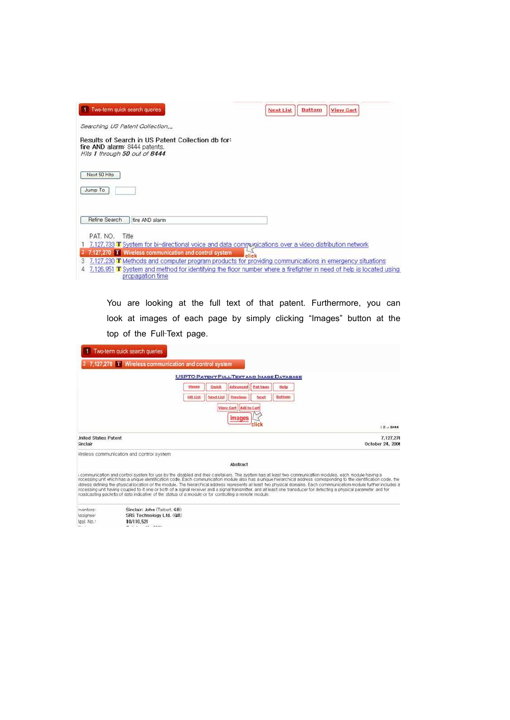| Two-term quick search queries                                                                                       | <b>Bottom</b><br><b>Next List</b><br><b>View Cart</b>                                                               |
|---------------------------------------------------------------------------------------------------------------------|---------------------------------------------------------------------------------------------------------------------|
| Searching US Patent Collection                                                                                      |                                                                                                                     |
| Results of Search in US Patent Collection db for:<br>fire AND alarm: 8444 patents.<br>Hits 1 through 50 out of 8444 |                                                                                                                     |
| Next 50 Hits                                                                                                        |                                                                                                                     |
| Jump To                                                                                                             |                                                                                                                     |
|                                                                                                                     |                                                                                                                     |
| Refine Search<br>fire AND alarm                                                                                     |                                                                                                                     |
| PAT. NO.<br>Title                                                                                                   |                                                                                                                     |
| 7,127,733 T System for bi-directional voice and data communications over a video distribution network               |                                                                                                                     |
| 127,270 T Wireless communication and control system                                                                 | click                                                                                                               |
|                                                                                                                     | 7,127,230 T Methods and computer program products for providing communications in emergency situations              |
| propagation time                                                                                                    | 7,126,951 T System and method for identifying the floor number where a firefighter in need of help is located using |

You are looking at the full text of that patent. Furthermore, you can look at images of each page by simply clicking "Images" button at the top of the Full‐Text page.

|                                         | 1 Two-term quick search queries<br>7,127,270 T Wireless communication and control system             |                 |           |                                                  |         |               |                                                                                                                                                                                                                                                                                                                                                                                                                                                                                                                                                                                                                                                                                   |
|-----------------------------------------|------------------------------------------------------------------------------------------------------|-----------------|-----------|--------------------------------------------------|---------|---------------|-----------------------------------------------------------------------------------------------------------------------------------------------------------------------------------------------------------------------------------------------------------------------------------------------------------------------------------------------------------------------------------------------------------------------------------------------------------------------------------------------------------------------------------------------------------------------------------------------------------------------------------------------------------------------------------|
|                                         |                                                                                                      |                 |           | <b>USPTO PATENT FULL-TEXT AND IMAGE DATABASE</b> |         |               |                                                                                                                                                                                                                                                                                                                                                                                                                                                                                                                                                                                                                                                                                   |
|                                         |                                                                                                      | Home            | Ouick     | Advanced                                         | Pat Num | Help          |                                                                                                                                                                                                                                                                                                                                                                                                                                                                                                                                                                                                                                                                                   |
|                                         |                                                                                                      | <b>Hit List</b> | Next List | <b>Previous</b>                                  | Need    | <b>Buttom</b> |                                                                                                                                                                                                                                                                                                                                                                                                                                                                                                                                                                                                                                                                                   |
|                                         |                                                                                                      |                 |           | View, Cart   Add to Cart<br><i><b>Images</b></i> |         |               | (2 <sub>et</sub> 8444)                                                                                                                                                                                                                                                                                                                                                                                                                                                                                                                                                                                                                                                            |
| <b>Jnited States Patent</b><br>sinclair |                                                                                                      |                 |           |                                                  |         |               | 7.127.270<br>October 24, 2006                                                                                                                                                                                                                                                                                                                                                                                                                                                                                                                                                                                                                                                     |
|                                         | Vireless communication and control system                                                            |                 |           |                                                  |         |               |                                                                                                                                                                                                                                                                                                                                                                                                                                                                                                                                                                                                                                                                                   |
|                                         |                                                                                                      |                 |           | Abstract                                         |         |               |                                                                                                                                                                                                                                                                                                                                                                                                                                                                                                                                                                                                                                                                                   |
|                                         | roadcasting packets of data indicative of the status of a module or for controlling a remote module. |                 |           |                                                  |         |               | communication and control system for use by the disabled and their caretakers. The system has at least two communication modules, each module having a<br>rocessing unit which has a unique identification code. Each communication module also has a unique hierarchical address corresponding to the identification code, the<br>ddress defining the physical location of the module. The hierarchical address represents at least two physical domains. Each commnunication module further includes a<br>rocessing unit having coupled to it one or both of a signal receiver and a signal transmitter, and at least one transducer for detecting a physical parameter and for |
| nventors:                               | Sinclair: John (Tarbert, GB)                                                                         |                 |           |                                                  |         |               |                                                                                                                                                                                                                                                                                                                                                                                                                                                                                                                                                                                                                                                                                   |
| <i><b>Assignee!</b></i>                 | SRS Technology Ltd. (GB)                                                                             |                 |           |                                                  |         |               |                                                                                                                                                                                                                                                                                                                                                                                                                                                                                                                                                                                                                                                                                   |
| tent. No.1<br>Paul Lau                  | 10/110.521<br>$7.11.1 - 11.001$                                                                      |                 |           |                                                  |         |               |                                                                                                                                                                                                                                                                                                                                                                                                                                                                                                                                                                                                                                                                                   |
|                                         |                                                                                                      |                 |           |                                                  |         |               |                                                                                                                                                                                                                                                                                                                                                                                                                                                                                                                                                                                                                                                                                   |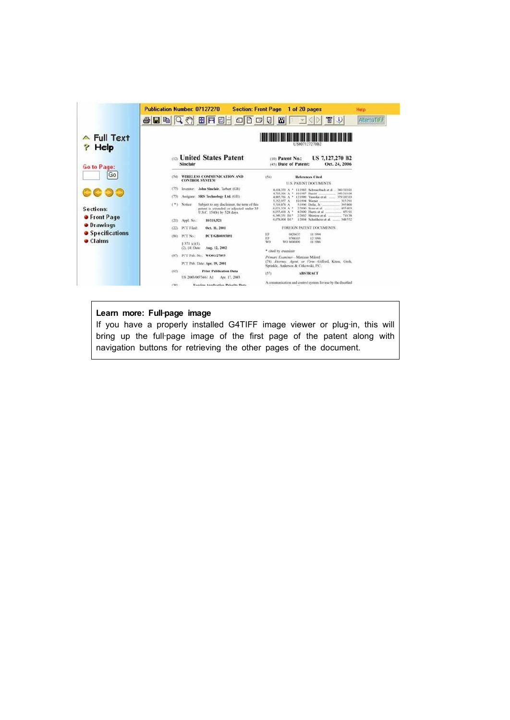|                               | Publication Number: 07127270                             | Section: Front Page 1 of 20 pages                                                                                                                                                     |                                                                                                                                            | Help        |  |  |  |  |
|-------------------------------|----------------------------------------------------------|---------------------------------------------------------------------------------------------------------------------------------------------------------------------------------------|--------------------------------------------------------------------------------------------------------------------------------------------|-------------|--|--|--|--|
|                               |                                                          | $A = 1000$                                                                                                                                                                            | 冒り<br><b>U</b>                                                                                                                             | AlternaTIFF |  |  |  |  |
| $\triangle$ Full Text<br>Help | US007127270B2                                            |                                                                                                                                                                                       |                                                                                                                                            |             |  |  |  |  |
| Go to Page:                   | <b>CONDUCTED United States Patent</b><br><b>Sinclair</b> | (10) Patent No.:                                                                                                                                                                      | US 7,127,270 B2<br>(45) Date of Patent:<br>Oct. 24, 2006                                                                                   |             |  |  |  |  |
| Go                            | (54) WIRELESS COMMUNICATION AND<br><b>CONTROL SYSTEM</b> | (56)                                                                                                                                                                                  | References Cited<br>U.S. PATENT DOCUMENTS                                                                                                  |             |  |  |  |  |
|                               | Investor: John Sinclair, Tarbert (GB)<br>(75)            | 4.418,333 A *                                                                                                                                                                         | 11/1981 Schwarzbiech et al. . 340/310.01<br>340/310.06<br>4,703,306 A * 10/1987 Barnit                                                     |             |  |  |  |  |
|                               | Assignee: SRS Technology Ltd. (GB)<br>(73)               | 4.143,617 A                                                                                                                                                                           | 8,885,766 A * 12-1989 Yamska et al. __ 379/102419<br>10/1994 Werner<br>315/201                                                             |             |  |  |  |  |
| Sections:                     | (*) Notice:                                              | Subject to say disclaimer, the term of this<br>1.519.878 A<br>6.021.324 A *<br>patent is extended or adjusted under 35<br>* A BLK220A<br>U.S.C. 154(b) by 528 days.<br>6,349,351 1917 | 5/1996 Defin, Jr.<br>315,900<br>2/2000 Since at al.<br>155/403<br>4/2000. Harris et al.<br>$-455.08$<br>2/2002. Shimira et al.<br>$-71638$ |             |  |  |  |  |
| <b>•</b> Front Page           | (21) Appl. No.:<br>10/110.521                            |                                                                                                                                                                                       | 6.678.004 B1* 1/2004 Ndulthous et al.  348.552                                                                                             |             |  |  |  |  |
| <b>•</b> Drawings             | PCT Filed:<br>(22)                                       | Oct. 11, 2001                                                                                                                                                                         | FOREIGN PATENT DOCUMENTS                                                                                                                   |             |  |  |  |  |
| <b>Specifications</b>         | PCT No.<br>(86)                                          | m<br>PCT/GB06/63891<br>EP.                                                                                                                                                            | 0626635<br>11/1994<br>12:1996<br>074K105                                                                                                   |             |  |  |  |  |
| <b>Claims</b>                 | 8 371 (c)(1).<br>(2), (4) Date:                          | WO-<br>Aug. 12, 2002<br>* cited by examiner                                                                                                                                           | WILL SHIRLIGHT<br>31/1986                                                                                                                  |             |  |  |  |  |
|                               | (87) PCT Pub. No.: WO01/27893                            |                                                                                                                                                                                       | Primary Examiner-Marcons Milord                                                                                                            |             |  |  |  |  |
|                               | PCT Pub. Date: Apr. 19, 2001                             |                                                                                                                                                                                       | (74) Attorney, Agent, or Firm-Gifford, Krass, Grob,<br>Sprinkle, Anderson & Citkowski, P.C.                                                |             |  |  |  |  |
|                               | (65)<br>US 2003/0073461 AT                               | <b>Prior Publication Data</b><br>(57)<br>Apr. 17, 2003                                                                                                                                | <b>ABSTRACT</b>                                                                                                                            |             |  |  |  |  |
|                               | cus                                                      | <b>Earylon Annibution Princity Data</b>                                                                                                                                               | A communication and control system for use by the disabled                                                                                 |             |  |  |  |  |

# Learn more: Full-page image

If you have a properly installed G4TIFF image viewer or plug-in, this will bring up the full-page image of the first page of the patent along with navigation buttons for retrieving the other pages of the document.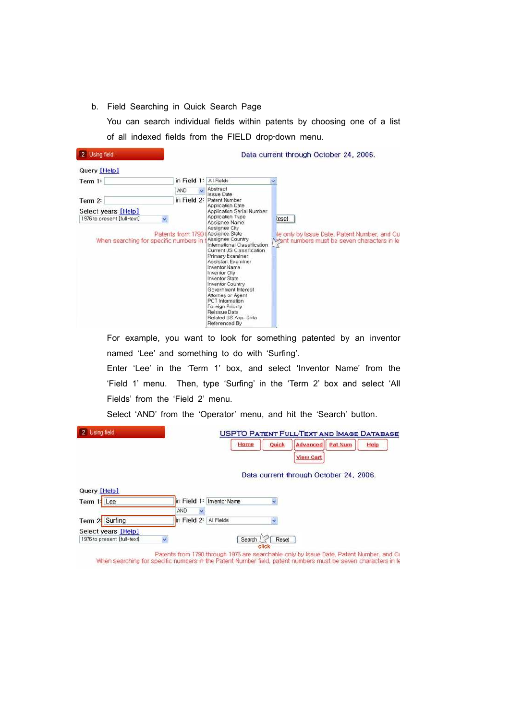b. Field Searching in Quick Search Page

You can search individual fields within patents by choosing one of a list of all indexed fields from the FIELD drop-down menu.

| 2 Using field                                                                                |                   |                                                                                                                                                                                                                                                                                                                                                                                                                                                                                     | Data current through October 24, 2006.                                                               |
|----------------------------------------------------------------------------------------------|-------------------|-------------------------------------------------------------------------------------------------------------------------------------------------------------------------------------------------------------------------------------------------------------------------------------------------------------------------------------------------------------------------------------------------------------------------------------------------------------------------------------|------------------------------------------------------------------------------------------------------|
| Query [Help]                                                                                 |                   |                                                                                                                                                                                                                                                                                                                                                                                                                                                                                     |                                                                                                      |
| Term 1:                                                                                      | in Field 1:       | All Fields                                                                                                                                                                                                                                                                                                                                                                                                                                                                          |                                                                                                      |
|                                                                                              | AND               | Abstract<br>Issue Date                                                                                                                                                                                                                                                                                                                                                                                                                                                              |                                                                                                      |
| Term 2:                                                                                      | in Field 2:       | Patent Number<br>Application Date                                                                                                                                                                                                                                                                                                                                                                                                                                                   |                                                                                                      |
| Select years [Help]<br>1976 to present [full-text]<br>When searching for specific numbers in | Patents from 1790 | Application Serial Number<br>Application Type<br>Assignee Name<br>Assignee City<br><i><b>Assignee State</b></i><br>Assignee Country<br>International Classification<br>Current US Classification<br>Primary Examiner<br>Assistant Examiner<br>Inventor Name<br><b>Inventor City</b><br><b>Inventor State</b><br><b>Inventor Country</b><br>Government Interest<br>Attorney or Agent<br>PCT Information<br>Foreign Priority<br>Reissue Data<br>Related US App. Data<br>Referenced By | teset<br>le only by Issue Date, Patent Number, and Cu<br>the mumbers must be seven characters in let |

For example, you want to look for something patented by an inventor named 'Lee' and something to do with 'Surfing'. Enter 'Lee' in the 'Term 1' box, and select 'Inventor Name' from the

'Field 1' menu. Then, type 'Surfing' in the 'Term 2' box and select 'All Fields' from the 'Field 2' menu.

Select 'AND' from the 'Operator' menu, and hit the 'Search' button.

| 2 Using field                  | <b>USPTO PATENT FULL-TEXT AND IMAGE DATABASE</b><br><b>Pat Num</b><br>Home<br><b>Advanced</b><br>Quick<br>Help |
|--------------------------------|----------------------------------------------------------------------------------------------------------------|
| Query [Help]<br>Term 11<br>Lee | <b>View Cart</b><br>Data current through October 24, 2006.<br>in Field 1:<br><b>Inventor Name</b>              |
|                                | AND                                                                                                            |
| Term 2- Surfing                | in Field 2:<br>All Fields                                                                                      |
| Select years [Help]            |                                                                                                                |

Patents from 1790 through 1975 are searchable only by Issue Date, Patent Number, and Cu.<br>When searching for specific numbers in the Patent Number field, patent numbers must be seven characters in le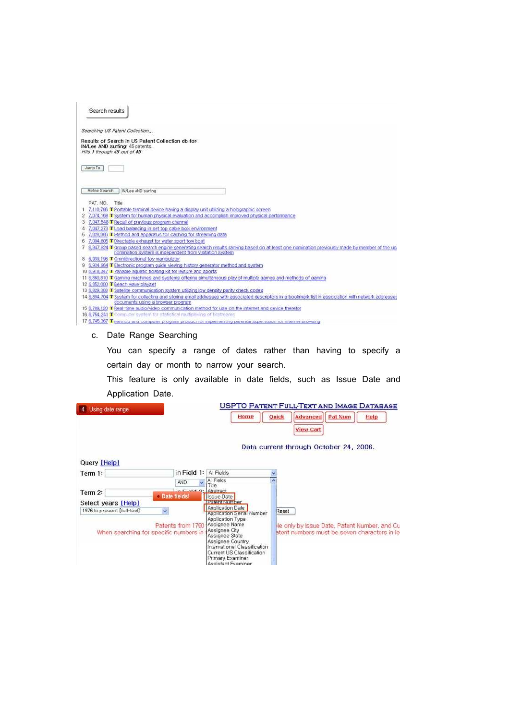| Search results                                                 |                                                                                                                                                       |
|----------------------------------------------------------------|-------------------------------------------------------------------------------------------------------------------------------------------------------|
| Searching US Patent Collection                                 |                                                                                                                                                       |
| IN/Lee AND surfing: 45 patents.<br>Hits 1 through 45 out of 45 | Results of Search in US Patent Collection db for:                                                                                                     |
| Jump To                                                        |                                                                                                                                                       |
| Refine Search                                                  | IN/Lee AND surfing                                                                                                                                    |
| PAT. NO.<br>Title                                              |                                                                                                                                                       |
|                                                                | 7.110.796 T Portable terminal device having a display unit utilizing a holographic screen                                                             |
| 2                                                              | 7,074,169 T System for human physical evaluation and accomplish improved physical performance                                                         |
| 3                                                              | 7,047,548 T Recall of previous program channel                                                                                                        |
| 4                                                              | 7,047,273 T Load balancing in set top cable box environment                                                                                           |
|                                                                | 7,028,096 T Method and apparatus for caching for streaming data                                                                                       |
|                                                                | 7,004,805 T Directable exhaust for water sport tow boat                                                                                               |
|                                                                | 6,947,924 T Group based search engine generating search results ranking based on at least one nomination previously made by member of the use         |
|                                                                | nomination system is independent from visitation system                                                                                               |
| 8 6,939,196 T Omnidirectional toy manipulator                  |                                                                                                                                                       |
|                                                                | 9 6,934,064 T Electronic program guide viewing history generator method and system                                                                    |
|                                                                | 10-6,918,347 T Variable aguatic floating kit for leisure and sports                                                                                   |
|                                                                | 11 6,860,810 T Gaming machines and systems offering simultaneous play of multiple games and methods of gaming                                         |
| 12 6,852,000 T Beach wave playset                              |                                                                                                                                                       |
|                                                                | 13 6.829.308 T Satellite communication system utilizing low density parity check codes                                                                |
|                                                                | 14 6,804,704 T System for collecting and storing email addresses with associated descriptors in a bookmark list in association with network addresses |
|                                                                | documents using a browser program                                                                                                                     |
|                                                                | 15-6,789,120 T Real-time audio/video communication method for use on the internet and device therefor                                                 |
|                                                                | 16 6.754.241 T Computer system for statistical multiplexing of hitstreams                                                                             |
|                                                                | 17.6.745.367. The means can compare program annually in a premier and occurrence appearance in a meaner program                                       |

# c. Date Range Searching

You can specify a range of dates rather than having to specify a certain day or month to narrow your search.

This feature is only available in date fields, such as Issue Date and Application Date.

| 4<br>Using date range                                       | <b>USPTO PATENT FULL-TEXT AND IMAGE DATABASE</b>                                                                                                                                                                                                                                                 |
|-------------------------------------------------------------|--------------------------------------------------------------------------------------------------------------------------------------------------------------------------------------------------------------------------------------------------------------------------------------------------|
|                                                             | <b>Pat Num</b><br>Home<br>Quick<br><b>Advanced</b><br>Help<br><b>View Cart</b>                                                                                                                                                                                                                   |
|                                                             | Data current through October 24, 2006.                                                                                                                                                                                                                                                           |
| Query [Help]                                                |                                                                                                                                                                                                                                                                                                  |
| in Field 1:<br>Term 1:                                      | All Fields                                                                                                                                                                                                                                                                                       |
| AND.                                                        | All Fields<br>Title                                                                                                                                                                                                                                                                              |
| Term 2:<br>Date fields!                                     | <b>Cold 9: Abstract</b><br><b>Issue Date</b>                                                                                                                                                                                                                                                     |
| Select years [Help]                                         | <b>IPatent Number</b>                                                                                                                                                                                                                                                                            |
| 1976 to present [full-text]                                 | Application Date<br>Reset<br>Application Serial Number                                                                                                                                                                                                                                           |
| Patents from 1790<br>When searching for specific numbers in | Application Type<br>Assignee Name<br>le only by Issue Date, Patent Number, and Cu<br>Assignee City<br>atent numbers must be seven characters in let<br>Assignee State<br>Assignee Country<br>International Classification<br>Current US Classification<br>Primary Examiner<br>Assistant Examiner |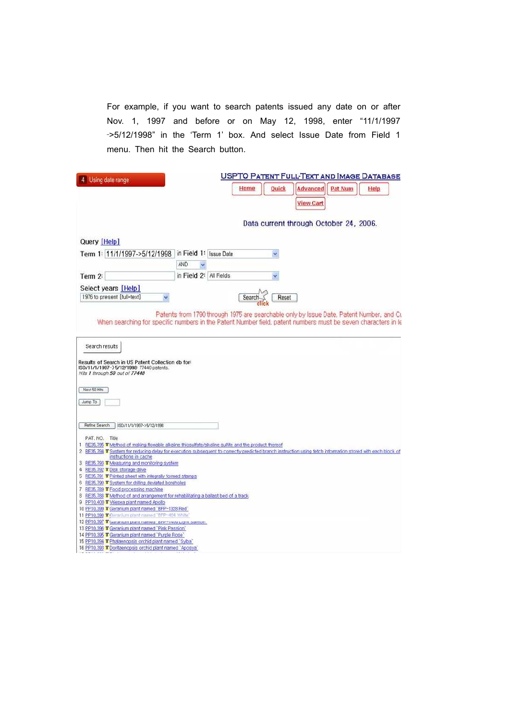For example, if you want to search patents issued any date on or after Nov. 1, 1997 and before or on May 12, 1998, enter "11/1/1997 ‐>5/12/1998" in the 'Term 1' box. And select Issue Date from Field 1 menu. Then hit the Search button.

| Using date range                                                                                                | <b>USPTO PATENT FULL-TEXT AND IMAGE DATABASE</b>                                                                                                                                                         |
|-----------------------------------------------------------------------------------------------------------------|----------------------------------------------------------------------------------------------------------------------------------------------------------------------------------------------------------|
|                                                                                                                 | Home<br><b>Quick</b><br>Advanced<br><b>Pat Num</b><br>Help                                                                                                                                               |
|                                                                                                                 | <b>View Cart</b>                                                                                                                                                                                         |
|                                                                                                                 |                                                                                                                                                                                                          |
|                                                                                                                 | Data current through October 24, 2006.                                                                                                                                                                   |
|                                                                                                                 |                                                                                                                                                                                                          |
| Query [Help]                                                                                                    |                                                                                                                                                                                                          |
| Term 1: 11/1/1997->5/12/1998 in Field 1: Issue Date                                                             |                                                                                                                                                                                                          |
|                                                                                                                 | AND                                                                                                                                                                                                      |
| Term 2:                                                                                                         | in Field 2: All Fields                                                                                                                                                                                   |
| Select years [Help]                                                                                             |                                                                                                                                                                                                          |
| 1976 to present [full-text]                                                                                     | Search<br>Reset                                                                                                                                                                                          |
|                                                                                                                 |                                                                                                                                                                                                          |
|                                                                                                                 | Patents from 1790 through 1975 are searchable only by Issue Date, Patent Number, and Cu<br>When searching for specific numbers in the Patent Number field, patent numbers must be seven characters in le |
|                                                                                                                 |                                                                                                                                                                                                          |
| Hits 1 through 50 out of 77440<br>Next 50 Hits<br>Jump To                                                       |                                                                                                                                                                                                          |
| Refine Search<br>ISD/11/1/1997~>5/12/1998                                                                       |                                                                                                                                                                                                          |
| PAT. NO. Title                                                                                                  | 1 RE35,795 T Method of making flowable alkaline thiosulfate/alkaline sulfite and the product thereof                                                                                                     |
|                                                                                                                 | 2 RE35.794 T System for reducing delay for execution subsequent to correctly predicted branch instruction using fetch information stored with each block of                                              |
| instructions in cache<br>3 RE35, 793 T Measuring and monitoring system                                          |                                                                                                                                                                                                          |
| 4 RE35,792 T Disk storage drive                                                                                 |                                                                                                                                                                                                          |
| 5 RE35,791 T Printed sheet with integrally formed stamps<br>6 RE35,790 T System for drilling deviated boreholes |                                                                                                                                                                                                          |
| 7 RE35,789 T Food processing machine                                                                            |                                                                                                                                                                                                          |
| 8 RE35,788 T Method of and arrangement for rehabilitating a ballast bed of a track                              |                                                                                                                                                                                                          |
| 9 PP10,400 T Vriesea plant named Apollo<br>10 PP10.399 T Geranium plant named "BFP-1328 Red"                    |                                                                                                                                                                                                          |
| 11 PP10,398 T Geranium plant named 'BFP-484 White'                                                              |                                                                                                                                                                                                          |
| 12 PP10.397 T Geranium piant named on research and samon.                                                       |                                                                                                                                                                                                          |
| 13 PP10,396 T Geranium plant named 'Pink Passion'                                                               |                                                                                                                                                                                                          |
| 14 PP10.395 T Geranium plant named 'Purple Rose'<br>15 PP10.394 T Phalaenopsis orchid plant named `Sylba'       |                                                                                                                                                                                                          |
| 16 PP10,393 T Doritaenopsis orchid plant named `Aposya                                                          |                                                                                                                                                                                                          |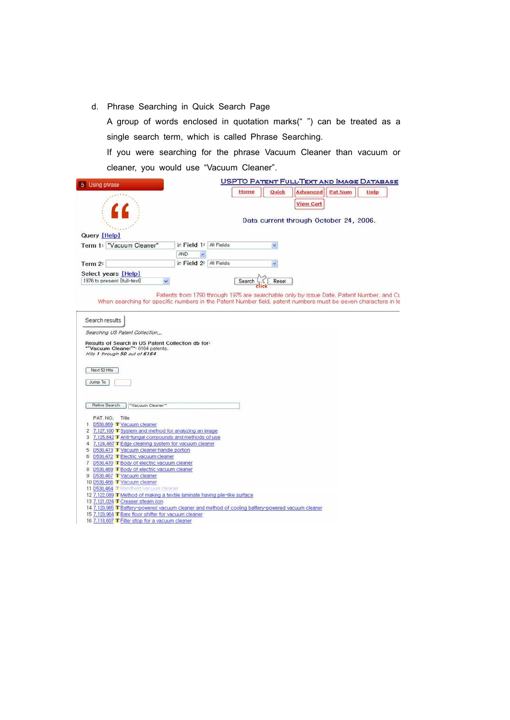d. Phrase Searching in Quick Search Page

A group of words enclosed in quotation marks(" ") can be treated as a single search term, which is called Phrase Searching.

If you were searching for the phrase Vacuum Cleaner than vacuum or cleaner, you would use "Vacuum Cleaner".

| Using phrase                                                                                                                                               |                        |        | <b>USPTO PATENT FULL-TEXT AND IMAGE DATABASE</b> |                  |                |      |  |
|------------------------------------------------------------------------------------------------------------------------------------------------------------|------------------------|--------|--------------------------------------------------|------------------|----------------|------|--|
|                                                                                                                                                            |                        | Home   | Quick                                            | <b>Advanced</b>  | <b>Pat Num</b> | Help |  |
|                                                                                                                                                            |                        |        | Data current through October 24, 2006.           | <b>View Cart</b> |                |      |  |
| Query [Help]                                                                                                                                               |                        |        |                                                  |                  |                |      |  |
| Term 1: "Vacuum Cleaner"                                                                                                                                   | in Field 1: All Fields |        |                                                  |                  |                |      |  |
|                                                                                                                                                            | AND                    |        |                                                  |                  |                |      |  |
| Term 2:                                                                                                                                                    | in Field 2: All Fields |        |                                                  |                  |                |      |  |
|                                                                                                                                                            |                        |        |                                                  |                  |                |      |  |
| Select years [Help]<br>1976 to present [full-text]                                                                                                         |                        | Search | Reset                                            |                  |                |      |  |
|                                                                                                                                                            |                        |        |                                                  |                  |                |      |  |
| When searching for specific numbers in the Patent Number field, patent numbers must be seven characters in le                                              |                        |        |                                                  |                  |                |      |  |
|                                                                                                                                                            |                        |        |                                                  |                  |                |      |  |
| Search results                                                                                                                                             |                        |        |                                                  |                  |                |      |  |
| Searching US Patent Collection<br>Results of Search in US Patent Collection db for:<br>"Vacuum Cleaner": 6164 patents.<br>Hits 1 through 50 out of 6164    |                        |        |                                                  |                  |                |      |  |
| Next 50 Hits<br>Jump To                                                                                                                                    |                        |        |                                                  |                  |                |      |  |
| Refine Search<br>"Vacuum Cleaner"                                                                                                                          |                        |        |                                                  |                  |                |      |  |
|                                                                                                                                                            |                        |        |                                                  |                  |                |      |  |
| PAT. NO. Title                                                                                                                                             |                        |        |                                                  |                  |                |      |  |
| 1 D530,869 T Vacuum cleaner                                                                                                                                |                        |        |                                                  |                  |                |      |  |
| 2 7,127,100 T System and method for analyzing an image<br>3 7,125,842 T Anti-fungal compounds and methods of use                                           |                        |        |                                                  |                  |                |      |  |
| 4 7,124,467 T Edge cleaning system for vacuum cleaner                                                                                                      |                        |        |                                                  |                  |                |      |  |
| 5 D530,473 T Vacuum cleaner handle portion                                                                                                                 |                        |        |                                                  |                  |                |      |  |
| 6 D530,472 TElectric vacuum cleaner                                                                                                                        |                        |        |                                                  |                  |                |      |  |
| 7 D530,470 T Body of electric vacuum cleaner                                                                                                               |                        |        |                                                  |                  |                |      |  |
| 8 D530,469 T Body of electric vacuum cleaner                                                                                                               |                        |        |                                                  |                  |                |      |  |
| 9 D530,467 T Vacuum cleaner                                                                                                                                |                        |        |                                                  |                  |                |      |  |
| 10 D530,466 T Vacuum cleaner                                                                                                                               |                        |        |                                                  |                  |                |      |  |
| 11 D530,464 THandheld vacuum cleaner                                                                                                                       |                        |        |                                                  |                  |                |      |  |
| 12 7,122,089 T Method of making a textile laminate having pile-like surface                                                                                |                        |        |                                                  |                  |                |      |  |
| 13 7,121.024 T Creaser steam iron                                                                                                                          |                        |        |                                                  |                  |                |      |  |
| 14 7,120,965 T Battery-powered vacuum cleaner and method of cooling battery-powered vacuum cleaner<br>15 7,120,964 T Bare floor shifter for vacuum cleaner |                        |        |                                                  |                  |                |      |  |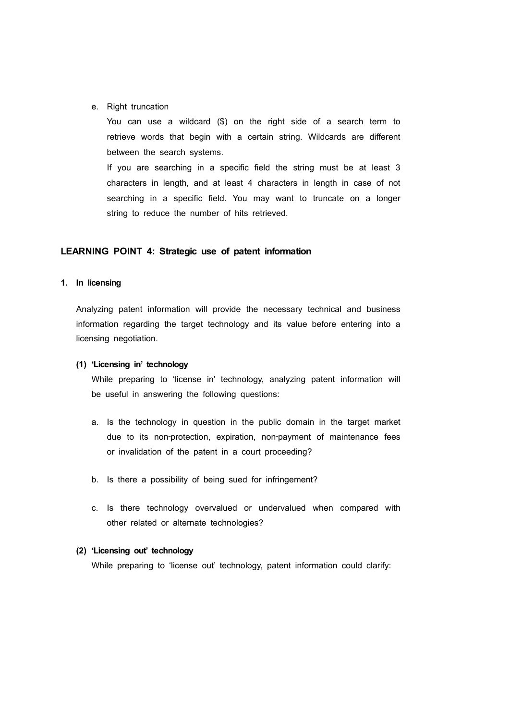e. Right truncation

You can use a wildcard (\$) on the right side of a search term to retrieve words that begin with a certain string. Wildcards are different between the search systems.

If you are searching in a specific field the string must be at least 3 characters in length, and at least 4 characters in length in case of not searching in a specific field. You may want to truncate on a longer string to reduce the number of hits retrieved.

#### **LEARNING POINT 4: Strategic use of patent information**

#### **1. In licensing**

Analyzing patent information will provide the necessary technical and business information regarding the target technology and its value before entering into a licensing negotiation.

#### **(1) 'Licensing in' technology**

While preparing to 'license in' technology, analyzing patent information will be useful in answering the following questions:

- a. Is the technology in question in the public domain in the target market due to its non-protection, expiration, non-payment of maintenance fees or invalidation of the patent in a court proceeding?
- b. Is there a possibility of being sued for infringement?
- c. Is there technology overvalued or undervalued when compared with other related or alternate technologies?

# **(2) 'Licensing out' technology**

While preparing to 'license out' technology, patent information could clarify: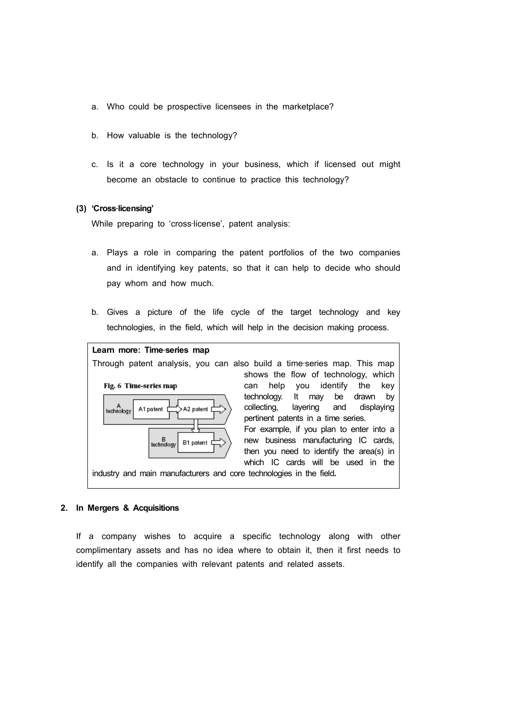- a. Who could be prospective licensees in the marketplace?
- b. How valuable is the technology?
- c. Is it a core technology in your business, which if licensed out might become an obstacle to continue to practice this technology?

### **(3) 'Cross**‐**licensing'**

While preparing to 'cross-license', patent analysis:

- a. Plays a role in comparing the patent portfolios of the two companies and in identifying key patents, so that it can help to decide who should pay whom and how much.
- b. Gives a picture of the life cycle of the target technology and key technologies, in the field, which will help in the decision making process.



#### **2. In Mergers & Acquisitions**

If a company wishes to acquire a specific technology along with other complimentary assets and has no idea where to obtain it, then it first needs to identify all the companies with relevant patents and related assets.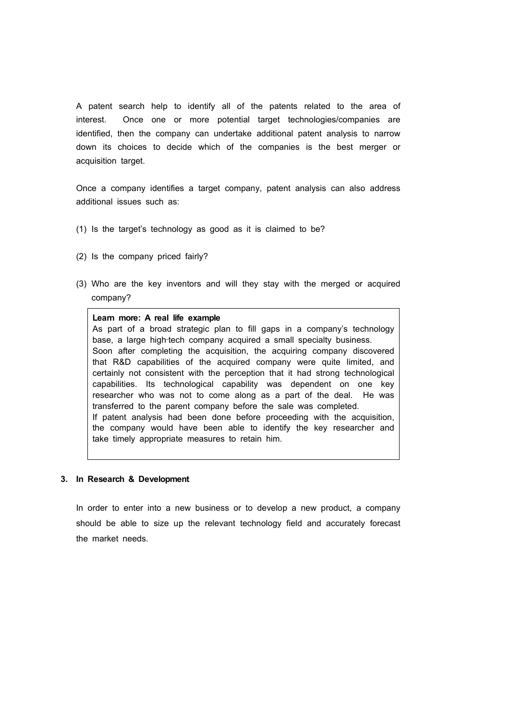A patent search help to identify all of the patents related to the area of interest. Once one or more potential target technologies/companies are identified, then the company can undertake additional patent analysis to narrow down its choices to decide which of the companies is the best merger or acquisition target.

Once a company identifies a target company, patent analysis can also address additional issues such as:

- (1) Is the target's technology as good as it is claimed to be?
- (2) Is the company priced fairly?
- (3) Who are the key inventors and will they stay with the merged or acquired company?

#### **Learn more: A real life example**

As part of a broad strategic plan to fill gaps in a company's technology base, a large high-tech company acquired a small specialty business. Soon after completing the acquisition, the acquiring company discovered that R&D capabilities of the acquired company were quite limited, and certainly not consistent with the perception that it had strong technological capabilities. Its technological capability was dependent on one key researcher who was not to come along as a part of the deal. He was transferred to the parent company before the sale was completed. If patent analysis had been done before proceeding with the acquisition, the company would have been able to identify the key researcher and take timely appropriate measures to retain him.

#### **3. In Research & Development**

In order to enter into a new business or to develop a new product, a company should be able to size up the relevant technology field and accurately forecast the market needs.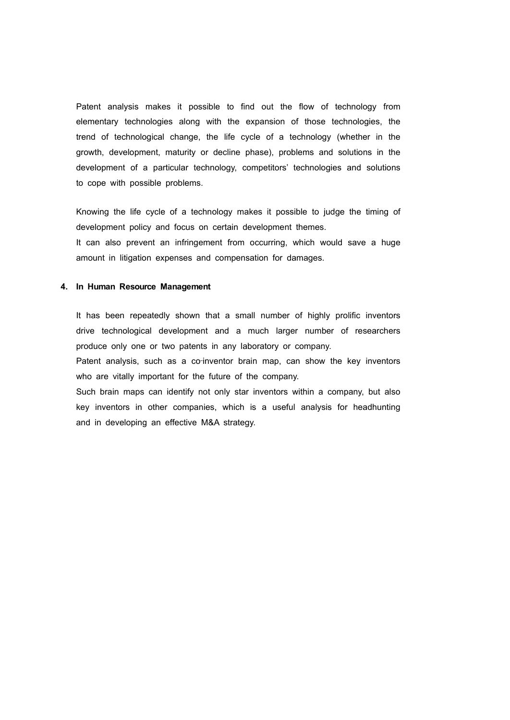Patent analysis makes it possible to find out the flow of technology from elementary technologies along with the expansion of those technologies, the trend of technological change, the life cycle of a technology (whether in the growth, development, maturity or decline phase), problems and solutions in the development of a particular technology, competitors' technologies and solutions to cope with possible problems.

Knowing the life cycle of a technology makes it possible to judge the timing of development policy and focus on certain development themes. It can also prevent an infringement from occurring, which would save a huge amount in litigation expenses and compensation for damages.

#### **4. In Human Resource Management**

It has been repeatedly shown that a small number of highly prolific inventors drive technological development and a much larger number of researchers produce only one or two patents in any laboratory or company.

Patent analysis, such as a co-inventor brain map, can show the key inventors who are vitally important for the future of the company.

Such brain maps can identify not only star inventors within a company, but also key inventors in other companies, which is a useful analysis for headhunting and in developing an effective M&A strategy.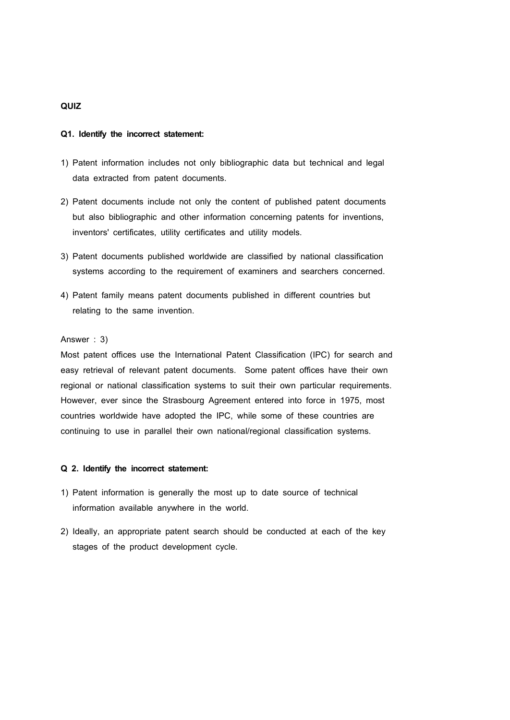# **QUIZ**

#### **Q1. Identify the incorrect statement:**

- 1) Patent information includes not only bibliographic data but technical and legal data extracted from patent documents.
- 2) Patent documents include not only the content of published patent documents but also bibliographic and other information concerning patents for inventions, inventors' certificates, utility certificates and utility models.
- 3) Patent documents published worldwide are classified by national classification systems according to the requirement of examiners and searchers concerned.
- 4) Patent family means patent documents published in different countries but relating to the same invention.

# Answer : 3)

Most patent offices use the International Patent Classification (IPC) for search and easy retrieval of relevant patent documents. Some patent offices have their own regional or national classification systems to suit their own particular requirements. However, ever since the Strasbourg Agreement entered into force in 1975, most countries worldwide have adopted the IPC, while some of these countries are continuing to use in parallel their own national/regional classification systems.

#### **Q 2. Identify the incorrect statement:**

- 1) Patent information is generally the most up to date source of technical information available anywhere in the world.
- 2) Ideally, an appropriate patent search should be conducted at each of the key stages of the product development cycle.